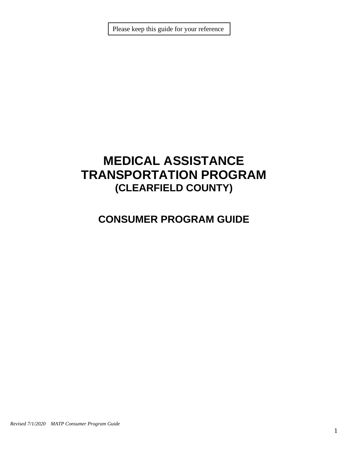Please keep this guide for your reference

# **MEDICAL ASSISTANCE TRANSPORTATION PROGRAM (CLEARFIELD COUNTY)**

# **CONSUMER PROGRAM GUIDE**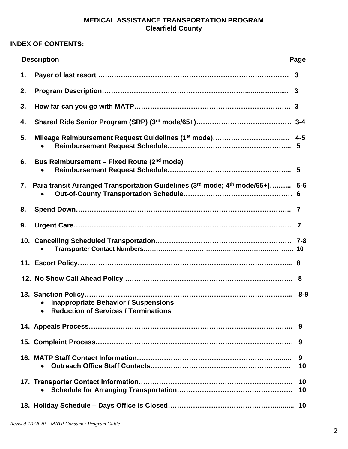# **MEDICAL ASSISTANCE TRANSPORTATION PROGRAM Clearfield County**

# **INDEX OF CONTENTS:**

|    | <b>Description</b>                                                                         | Page     |
|----|--------------------------------------------------------------------------------------------|----------|
| 1. |                                                                                            |          |
| 2. |                                                                                            |          |
| 3. |                                                                                            |          |
| 4. |                                                                                            |          |
| 5. |                                                                                            | 5        |
| 6. | Bus Reimbursement – Fixed Route (2 <sup>nd</sup> mode)                                     |          |
| 7. | Para transit Arranged Transportation Guidelines (3rd mode; 4th mode/65+) 5-6               |          |
| 8. |                                                                                            |          |
| 9. |                                                                                            |          |
|    |                                                                                            |          |
|    |                                                                                            |          |
|    |                                                                                            |          |
|    | <b>Inappropriate Behavior / Suspensions</b><br><b>Reduction of Services / Terminations</b> |          |
|    |                                                                                            | 9        |
|    |                                                                                            | 9        |
|    |                                                                                            | 9<br>10  |
|    |                                                                                            | 10<br>10 |
|    |                                                                                            |          |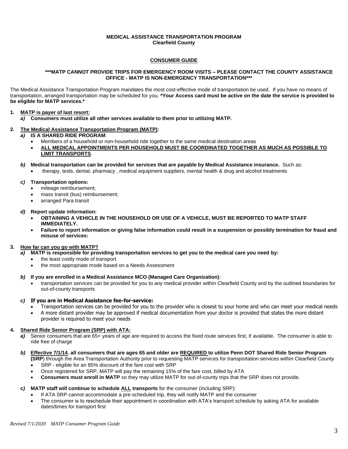#### **MEDICAL ASSISTANCE TRANSPORTATION PROGRAM Clearfield County**

### **CONSUMER GUIDE**

#### **\*\*\*MATP CANNOT PROVIDE TRIPS FOR EMERGENCY ROOM VISITS – PLEASE CONTACT THE COUNTY ASSISTANCE OFFICE - MATP IS NON-EMERGENCY TRANSPORTATION\*\*\***

The Medical Assistance Transportation Program mandates the most cost-effective mode of transportation be used. If you have no means of transportation, arranged transportation may be scheduled for you. **\*Your Access card must be active on the date the service is provided to be eligible for MATP services.\***

#### **1. MATP is payer of last resort:**

*a)* **Consumers must utilize all other services available to them prior to utilizing MATP.** 

# **2. The Medical Assistance Transportation Program (MATP):**

- *a)* **IS A SHARED RIDE PROGRAM**:
	- Members of a household or non-household ride together to the same medical destination areas
	- **ALL MEDICAL APPOINTMENTS PER HOUSEHOLD MUST BE COORDINATED TOGETHER AS MUCH AS POSSIBLE TO LIMIT TRANSPORTS**.

#### *b)* **Medical transportation can be provided for services that are payable by Medical Assistance insurance.** Such as:

• therapy, tests, dental, pharmacy , medical equipment suppliers, mental health & drug and alcohol treatments

#### *c)* **Transportation options:**

- mileage reimbursement:
- mass transit (bus) reimbursement;
- arranged Para transit

#### *d)* **Report update information:**

- **OBTAINING A VEHICLE IN THE HOUSEHOLD OR USE OF A VEHICLE, MUST BE REPORTED TO MATP STAFF IMMEDIATELY.**
- **Failure to report information or giving false information could result in a suspension or possibly termination for fraud and misuse of services:**

# **3. How far can you go with MATP?**

- *a)* **MATP is responsible for providing transportation services to get you to the medical care you need by:**
	- the least costly mode of transport
	- the most appropriate mode based on a Needs Assessment

#### *b)* **If you are enrolled in a Medical Assistance MCO (Managed Care Organization)**:

• transportation services can be provided for you to any medical provider within Clearfield County and by the outlined boundaries for out-of-county transports

# *c)* **If you are in Medical Assistance fee-for-service:**

- Transportation services can be provided for you to the provider who is closest to your home and who can meet your medical needs
- A more distant provider may be approved if medical documentation from your doctor is provided that states the more distant

# provider is required to meet your needs

# **4. Shared Ride Senior Program (SRP) with ATA:**

*a)* Senior consumers that are 65+ years of age are required to access the fixed route services first, if available. The consumer is able to ride free of charge

# *b)* **Effective 7/1/14**, **all consumers that are ages 65 and older are REQUIRED to utilize Penn DOT Shared Ride Senior Program**

**(SRP**) through the Area Transportation Authority prior to requesting MATP services for transportation services within Clearfield County SRP - eligible for an 85% discount of the fare cost with SRP

- Once registered for SRP, MATP will pay the remaining 15% of the fare cost, billed by ATA
- **Consumers must enroll in MATP** so they may utilize MATP for out-of-county trips that the SRP does not provide.

# *c)* **MATP staff will continue to schedule ALL transports** for the consumer (including SRP):

- If ATA SRP cannot accommodate a pre-scheduled trip, they will notify MATP and the consumer
- The consumer is to reschedule their appointment in coordination with ATA's transport schedule by asking ATA for available dates/times for transport first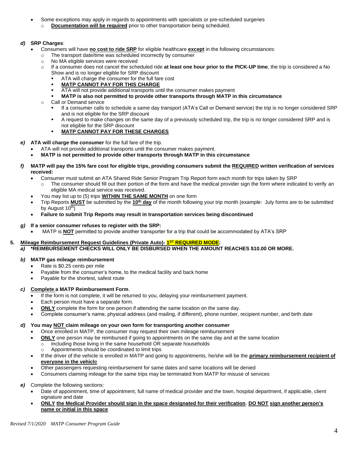- Some exceptions may apply in regards to appointments with specialists or pre-scheduled surgeries
	- o **Documentation will be required** prior to other transportation being scheduled.

# *d)* **SRP Charges**:

- Consumers will have **no cost to ride SRP** for eligible healthcare **except** in the following circumstances:
	- The transport date/time was scheduled incorrectly by consumer
	- o No MA eligible services were received
	- o If a consumer does not cancel the scheduled ride **at least one hour prior to the PICK-UP time**, the trip is considered a No Show and is no longer eligible for SRP discount
		- ATA will charge the consumer for the full fare cost
		- **MATP CANNOT PAY FOR THIS CHARGE**
		- ATA will not provide additional transports until the consumer makes payment
		- **MATP is also not permitted to provide other transports through MATP in this circumstance**
	- o Call or Demand service
		- If a consumer calls to schedule a same day transport (ATA's Call or Demand service) the trip is no longer considered SRP and is not eligible for the SRP discount
		- A request to make changes on the same day of a previously scheduled trip, the trip is no longer considered SRP and is not eligible for the SRP discount
		- **MATP CANNOT PAY FOR THESE CHARGES**
- *e)* **ATA will charge the consumer** for the full fare of the trip.
	- ATA will not provide additional transports until the consumer makes payment.
	- **MATP is not permitted to provide other transports through MATP in this circumstance**
- *f)* **MATP will pay the 15% fare cost for eligible trips, providing consumers submit the REQUIRED written verification of services received:**
	- Consumer must submit an ATA Shared Ride Senior Program Trip Report form each month for trips taken by SRP The consumer should fill out their portion of the form and have the medical provider sign the form where indicated to verify an eligible MA medical service was received.
	- You may list up to (5) trips **WITHIN THE SAME MONTH** on one form
	- Trip Reports **MUST** be submitted by the **10th day** of the month following your trip month (example: July forms are to be submitted by August 10<sup>th</sup>)
	- **Failure to submit Trip Reports may result in transportation services being discontinued**

### *g)* **If a senior consumer refuses to register with the SRP:**

• MATP is **NOT** permitted to provide another transporter for a trip that could be accommodated by ATA's SRP

# **5. Mileage Reimbursement Request Guidelines (Private Auto)- 1 ST REQUIRED MODE:**

*a)* **\*REIMBURSEMENT CHECKS WILL ONLY BE DISBURSED WHEN THE AMOUNT REACHES \$10.00 OR MORE.**

# *b)* **MATP gas mileage reimbursement**

- Rate is \$0.25 cents per mile
- Payable from the consumer's home, to the medical facility and back home
- Payable for the shortest, safest route

# *c)* **Complete a MATP Reimbursement Form**.

- If the form is not complete, it will be returned to you, delaying your reimbursement payment.
- Each person must have a separate form.
- **ONLY** complete the form for one person if attending the same location on the same day.
- Complete consumer's name, physical address (and mailing, if different), phone number, recipient number, and birth date

# *d)* **You may NOT claim mileage on your own form for transporting another consumer**

- Once enrolled in MATP, the consumer may request their own mileage reimbursement
	- **ONLY** one person may be reimbursed if going to appointments on the same day and at the same location
		- $\overline{\circ}$  Including those living in the same household OR separate households
			- o Appointments should be coordinated to limit trips
- If the driver of the vehicle is enrolled in MATP and going to appointments, he/she will be the **primary reimbursement recipient of everyone in the vehicl**e
- Other passengers requesting reimbursement for same dates and same locations will be denied
- Consumers claiming mileage for the same trips may be terminated from MATP for misuse of services

# *e)* Complete the following sections:

- Date of appointment, time of appointment, full name of medical provider and the town, hospital department, if applicable, client signature and date
- **ONLY the Medical Provider should sign in the space designated for their verification**. **DO NOT sign another person's name or initial in this space**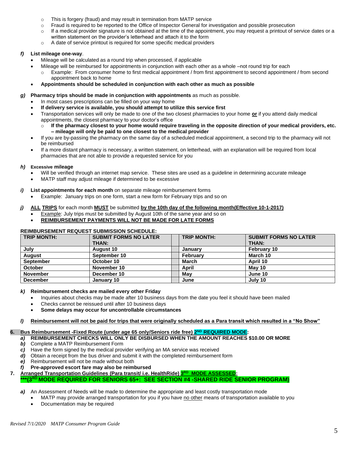- o This is forgery (fraud) and may result in termination from MATP service
- o Fraud is required to be reported to the Office of Inspector General for investigation and possible prosecution
- o If a medical provider signature is not obtained at the time of the appointment, you may request a printout of service dates or a written statement on the provider's letterhead and attach it to the form
- o A date of service printout is required for some specific medical providers

#### *f)* **List mileage one-way**.

- Mileage will be calculated as a round trip when processed, if applicable
	- Mileage will be reimbursed for appointments in conjunction with each other as a whole –not round trip for each
		- o Example: From consumer home to first medical appointment / from first appointment to second appointment / from second appointment back to home
- **Appointments should be scheduled in conjunction with each other as much as possible**
- *g)* **Pharmacy trips should be made in conjunction with appointments** as much as possible.
	- In most cases prescriptions can be filled on your way home
	- **If delivery service is available, you should attempt to utilize this service first**
	- Transportation services will only be made to one of the two closest pharmacies to your home **or** if you attend daily medical appointments, the closest pharmacy to your doctor's office
		- $\circ$  If the pharmacy closest to your home would require traveling in the opposite direction of your medical providers, etc. **– mileage will only be paid to one closest to the medical provider**
	- If you are by-passing the pharmacy on the same day of a scheduled medical appointment, a second trip to the pharmacy will not be reimbursed
	- If a more distant pharmacy is necessary, a written statement, on letterhead, with an explanation will be required from local pharmacies that are not able to provide a requested service for you

#### *h)* **Excessive mileage**

- Will be verified through an internet map service. These sites are used as a guideline in determining accurate mileage
- MATP staff may adjust mileage if determined to be excessive

#### *i)* **List appointments for each month** on separate mileage reimbursement forms

• Example:January trips on one form, start a new form for February trips and so on

#### *j)* **ALL TRIPS** for each month **MUST** be submitted **by the 10th day of the following month(Effective 10-1-2017)**

- Example: July trips must be submitted by August 10th of the same year and so on
- **REIMBURSEMENT PAYMENTS WILL NOT BE MADE FOR LATE FORMS**

# **REIMBURSEMENT REQUEST SUBMISSION SCHEDULE:**

| <b>TRIP MONTH:</b> | <b>SUBMIT FORMS NO LATER</b> | <b>TRIP MONTH:</b> | <b>SUBMIT FORMS NO LATER</b> |  |
|--------------------|------------------------------|--------------------|------------------------------|--|
|                    | <b>THAN:</b>                 |                    | <b>THAN:</b>                 |  |
| July               | <b>August 10</b>             | Januarv            | <b>February 10</b>           |  |
| <b>August</b>      | September 10                 | <b>February</b>    | March 10                     |  |
| <b>September</b>   | October 10                   | March              | April 10                     |  |
| <b>October</b>     | November 10                  | April              | May 10                       |  |
| <b>November</b>    | December 10                  | Mav                | June 10                      |  |
| <b>December</b>    | January 10                   | June               | July 10                      |  |

#### *k)* **Reimbursement checks are mailed every other Friday**

- Inquiries about checks may be made after 10 business days from the date you feel it should have been mailed
- Checks cannot be reissued until after 10 business days
- **Some delays may occur for uncontrollable circumstances**

# *l)* **Reimbursement will not be paid for trips that were originally scheduled as a Para transit which resulted in a "No Show"**

# **6.** Bus Reimbursement -Fixed Route (under age 65 only/Seniors ride free) 2<sup>ND</sup> REQUIRED MODE:

#### *a)* **REIMBURSEMENT CHECKS WILL ONLY BE DISBURSED WHEN THE AMOUNT REACHES \$10.00 OR MORE**

- *b)* Complete a MATP Reimbursement Form
- *c)* Have the form signed by the medical provider verifying an MA service was received
- *d)* Obtain a receipt from the bus driver and submit it with the completed reimbursement form
- *e)* Reimbursement will not be made without both
- *f)* **Pre-approved escort fare may also be reimbursed**
- **7. Arranged Transportation Guidelines (Para transit/ i.e. HealthRide) 3 RD MODE ASSESSED:**
	- **\*\*\*(3RD MODE REQUIRED FOR SENIORS 65+: SEE SECTION #4 -SHARED RIDE SENIOR PROGRAM)**
	- **a)** An Assessment of Needs will be made to determine the appropriate and least costly transportation mode
		- MATP may provide arranged transportation for you if you have no other means of transportation available to you
		- Documentation may be required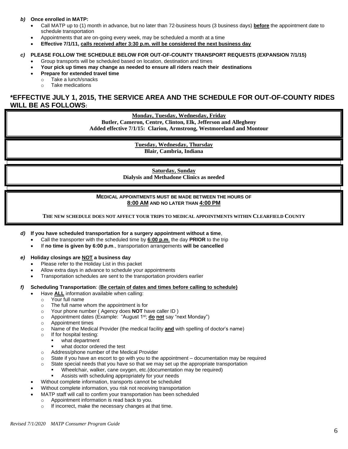#### *b)* **Once enrolled in MATP:**

- Call MATP up to (1) month in advance, but no later than 72-business hours (3 business days) **before** the appointment date to schedule transportation
- Appointments that are on-going every week, may be scheduled a month at a time
- **Effective 7/1/11, calls received after 3:30 p.m. will be considered the next business day**

# *c)* **PLEASE FOLLOW THE SCHEDULE BELOW FOR OUT-OF-COUNTY TRANSPORT REQUESTS (EXPANSION 7/1/15)**

- Group transports will be scheduled based on location, destination and times
- **Your pick up times may change as needed to ensure all riders reach their destinations**
- **Prepare for extended travel time**
- o Take a lunch/snacks
- o Take medications

# **\*EFFECTIVE JULY 1, 2015, THE SERVICE AREA AND THE SCHEDULE FOR OUT-OF-COUNTY RIDES WILL BE AS FOLLOWS:**

**Monday, Tuesday, Wednesday, Friday**

**Butler, Cameron, Centre, Clinton, Elk, Jefferson and Allegheny** 

**Added effective 7/1/15: Clarion, Armstrong, Westmoreland and Montour**

**Tuesday, Wednesday, Thursday Blair, Cambria, Indiana**

**Saturday, Sunday Dialysis and Methadone Clinics as needed**

**MEDICAL APPOINTMENTS MUST BE MADE BETWEEN THE HOURS OF 8:00 AM AND NO LATER THAN 4:00 PM**

**THE NEW SCHEDULE DOES NOT AFFECT YOUR TRIPS TO MEDICAL APPOINTMENTS WITHIN CLEARFIELD COUNTY**

*d)* **If you have scheduled transportation for a surgery appointment without a time**,

- Call the transporter with the scheduled time by **6:00 p.m**. the day **PRIOR** to the trip
- If **no time is given by 6:00 p.m**., transportation arrangements **will be cancelled**

#### *e)* **Holiday closings are NOT a business day**

- Please refer to the Holiday List in this packet
- Allow extra days in advance to schedule your appointments
- Transportation schedules are sent to the transportation providers earlier

#### *f)* **Scheduling Transportation**: (**Be certain of dates and times before calling to schedule)**

- Have **ALL** information available when calling:
	- o Your full name
	- o The full name whom the appointment is for
	- o Your phone number ( Agency does **NOT** have caller ID )
	- o Appointment dates (Example: "August 1st; **do not** say "next Monday")
	- o Appointment times
	- o Name of the Medical Provider (the medical facility **and** with spelling of doctor's name)
	- o If for hospital testing:
		- what department
		- what doctor ordered the test
	- o Address/phone number of the Medical Provider
	- $\circ$  State if you have an escort to go with you to the appointment documentation may be required
	- $\circ$  State special needs that you have so that we may set up the appropriate transportation
		- Wheelchair, walker, cane oxygen, etc.(documentation may be required)
	- Assists with scheduling appropriately for your needs • Without complete information, transports cannot be scheduled
- Without complete information, you risk not receiving transportation
- MATP staff will call to confirm your transportation has been scheduled
	- o Appointment information is read back to you.
		- o If incorrect, make the necessary changes at that time.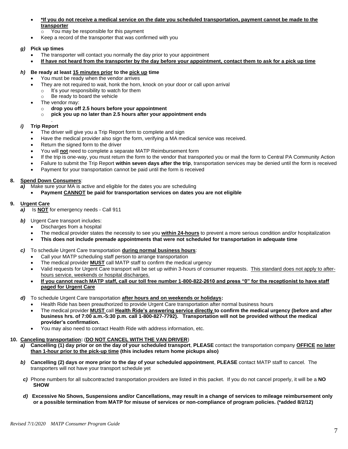• **\*If you do not receive a medical service on the date you scheduled transportation, payment cannot be made to the transporter**

o You may be responsible for this payment

• Keep a record of the transporter that was confirmed with you

#### *g)* **Pick up times**

- The transporter will contact you normally the day prior to your appointment
- **If have not heard from the transporter by the day before your appointment, contact them to ask for a pick up time**

#### *h)* **Be ready at least 15 minutes prior to the pick up time**

- You must be ready when the vendor arrives
	- They are not required to wait, honk the horn, knock on your door or call upon arrival
	- o It's your responsibility to watch for them
	- o Be ready to board the vehicle
- The vendor may:

.

- o **drop you off 2.5 hours before your appointment**
- o **pick you up no later than 2.5 hours after your appointment ends**

#### *i)* **Trip Report**

- The driver will give you a Trip Report form to complete and sign
- Have the medical provider also sign the form, verifying a MA medical service was received.
- Return the signed form to the driver
- You will **not** need to complete a separate MATP Reimbursement form
- If the trip is one-way, you must return the form to the vendor that transported you or mail the form to Central PA Community Action
- Failure to submit the Trip Report **within seven days after the trip**, transportation services may be denied until the form is received
- Payment for your transportation cannot be paid until the form is received

#### **8. Spend Down Consumers**:

- *a)* Make sure your MA is active and eligible for the dates you are scheduling
	- **Payment CANNOT be paid for transportation services on dates you are not eligible**

#### **9. Urgent Care**

- *a)* Is **NOT** for emergency needs Call 911
- *b*) Urgent Care transport includes:
	- Discharges from a hospital
	- The medical provider states the necessity to see you **within 24-hours** to prevent a more serious condition and/or hospitalization
	- **This does not include premade appointments that were not scheduled for transportation in adequate time**

# *c)* To schedule Urgent Care transportation **during normal business hours**:

- Call your MATP scheduling staff person to arrange transportation
- The medical provider **MUST** call MATP staff to confirm the medical urgency
- Valid requests for Urgent Care transport will be set up within 3-hours of consumer requests. This standard does not apply to afterhours service, weekends or hospital discharges.
- **If you cannot reach MATP staff, call our toll free number 1-800-822-2610 and press "0" for the receptionist to have staff paged for Urgent Care**
- *d)* To schedule Urgent Care transportation **after hours and on weekends or holidays:** 
	- Health Ride has been preauthorized to provide Urgent Care transportation after normal business hours
	- The medical provider **MUST** call **Health Ride's answering service directly to confirm the medical urgency (before and after business hrs. of 7:00 a.m.-5:30 p.m. call 1-800-827-7792). Transportation will not be provided without the medical provider's confirmation.**
	- You may also need to contact Health Ride with address information, etc.

#### **10. Canceling transportation:** (**DO NOT CANCEL WITH THE VAN DRIVER**)

- *a)* **Cancelling (1) day prior or on the day of your scheduled transport**, **PLEASE** contact the transportation company **OFFICE no later than 1-hour prior to the pick-up time (this includes return home pickups also)**
- *b)* **Cancelling (2) days or more prior to the day of your scheduled appointment**, **PLEASE** contact MATP staff to cancel. The transporters will not have your transport schedule yet
- *c)* Phone numbers for all subcontracted transportation providers are listed in this packet. If you do not cancel properly, it will be a **NO SHOW**
- *d)* **Excessive No Shows, Suspensions and/or Cancellations, may result in a change of services to mileage reimbursement only or a possible termination from MATP for misuse of services or non-compliance of program policies. (\*added 8/2/12)**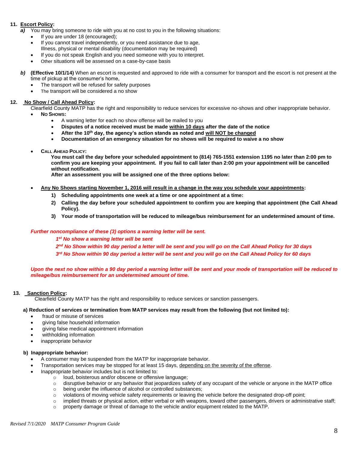# **11. Escort Policy:**

*a)* You may bring someone to ride with you at no cost to you in the following situations:

- If you are under 18 (encouraged);
- If you cannot travel independently, or you need assistance due to age,
- Illness, physical or mental disability (documentation may be required)
- If you do not speak English and you need someone with you to interpret.
- Other situations will be assessed on a case-by-case basis

*b)* **(Effective 10/1/14)** When an escort is requested and approved to ride with a consumer for transport and the escort is not present at the time of pickup at the consumer's home,

- The transport will be refused for safety purposes
- The transport will be considered a no show

#### **12. No Show / Call Ahead Policy:**

Clearfield County MATP has the right and responsibility to reduce services for excessive no-shows and other inappropriate behavior.

- **NO SHOWS:** 
	- A warning letter for each no show offense will be mailed to you
	- **Disputes of a notice received must be made within 10 days after the date of the notice**
	- **After the 10th day, the agency's action stands as noted and will NOT be changed**
	- **Documentation of an emergency situation for no shows will be required to waive a no show**
- **CALL AHEAD POLICY:**

 **You must call the day before your scheduled appointment to (814) 765-1551 extension 1195 no later than 2:00 pm to confirm you are keeping your appointment. If you fail to call later than 2:00 pm your appointment will be cancelled without notification.**

**After an assessment you will be assigned one of the three options below:**

- **Any No Shows starting November 1, 2016 will result in a change in the way you schedule your appointments:** 
	- **1) Scheduling appointments one week at a time or one appointment at a time:**
	- **2) Calling the day before your scheduled appointment to confirm you are keeping that appointment (the Call Ahead Policy).**
	- **3) Your mode of transportation will be reduced to mileage/bus reimbursement for an undetermined amount of time.**

#### *Further noncompliance of these (3) options a warning letter will be sent.*

*1 st No show a warning letter will be sent*

*2 nd No Show within 90 day period a letter will be sent and you will go on the Call Ahead Policy for 30 days*

*3 rd No Show within 90 day period a letter will be sent and you will go on the Call Ahead Policy for 60 days*

*Upon the next no show within a 90 day period a warning letter will be sent and your mode of transportation will be reduced to mileage/bus reimbursement for an undetermined amount of time.*

#### **13. Sanction Policy:**

Clearfield County MATP has the right and responsibility to reduce services or sanction passengers.

#### **a) Reduction of services or termination from MATP services may result from the following (but not limited to):**

- fraud or misuse of services
- giving false household information
- giving false medical appointment information
- withholding information
- inappropriate behavior

#### **b) Inappropriate behavior:**

- A consumer may be suspended from the MATP for inappropriate behavior.
- Transportation services may be stopped for at least 15 days, depending on the severity of the offense.
- Inappropriate behavior includes but is not limited to:
	- o loud, boisterous and/or obscene or offensive language;
	- $\circ$  disruptive behavior or any behavior that jeopardizes safety of any occupant of the vehicle or anyone in the MATP office
	- o being under the influence of alcohol or controlled substances;
	- $\circ$  violations of moving vehicle safety requirements or leaving the vehicle before the designated drop-off point;
	- $\circ$  implied threats or physical action, either verbal or with weapons, toward other passengers, drivers or administrative staff;
	- $\circ$  property damage or threat of damage to the vehicle and/or equipment related to the MATP.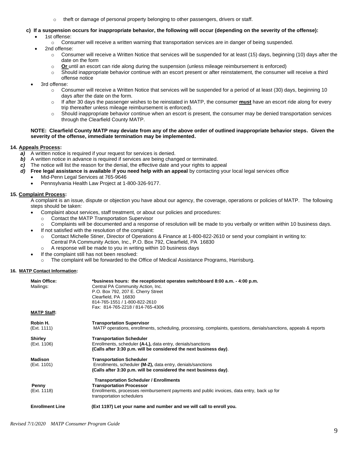o theft or damage of personal property belonging to other passengers, drivers or staff.

# **c) If a suspension occurs for inappropriate behavior, the following will occur (depending on the severity of the offense):**

- 1st offense:
	- $\circ$  Consumer will receive a written warning that transportation services are in danger of being suspended.
- 2nd offense:
	- $\circ$  Consumer will receive a Written Notice that services will be suspended for at least (15) days, beginning (10) days after the date on the form
	- o **Or** until an escort can ride along during the suspension (unless mileage reimbursement is enforced)
	- $\circ$  Should inappropriate behavior continue with an escort present or after reinstatement, the consumer will receive a third offense notice
- 3rd offense:
	- $\circ$  Consumer will receive a Written Notice that services will be suspended for a period of at least (30) days, beginning 10 days after the date on the form.
	- o If after 30 days the passenger wishes to be reinstated in MATP, the consumer **must** have an escort ride along for every trip thereafter unless mileage reimbursement is enforced).
	- $\circ$  Should inappropriate behavior continue when an escort is present, the consumer may be denied transportation services through the Clearfield County MATP.

#### **NOTE: Clearfield County MATP may deviate from any of the above order of outlined inappropriate behavior steps. Given the severity of the offense, immediate termination may be implemented.**

#### **14. Appeals Process:**

- *a)* A written notice is required if your request for services is denied.
- **b)** A written notice in advance is required if services are being changed or terminated.
- *c)* The notice will list the reason for the denial, the effective date and your rights to appeal
- *d)* **Free legal assistance is available if you need help with an appeal** by contacting your local legal services office
	- Mid-Penn Legal Services at 765-9646
	- Pennsylvania Health Law Project at 1-800-326-9177.

#### **15. Complaint Process:**

A complaint is an issue, dispute or objection you have about our agency, the coverage, operations or policies of MATP. The following steps should be taken:

- Complaint about services, staff treatment, or about our policies and procedures:
	- o Contact the MATP Transportation Supervisor

o Complaints will be documented and a response of resolution will be made to you verbally or written within 10 business days.

- If not satisfied with the resolution of the complaint:
	- Contact Michelle Stiner, Director of Operations & Finance at 1-800-822-2610 or send your complaint in writing to: Central PA Community Action, Inc., P.O. Box 792, Clearfield, PA 16830
	- o A response will be made to you in writing within 10 business days
- If the complaint still has not been resolved:
- o The complaint will be forwarded to the Office of Medical Assistance Programs, Harrisburg.

#### **16. MATP Contact Information:**

| <b>Main Office:</b><br>Mailings: | *business hours: the receptionist operates switchboard 8:00 a.m. - 4:00 p.m.<br>Central PA Community Action, Inc.<br>P.O. Box 792, 207 E. Cherry Street<br>Clearfield, PA 16830<br>814-765-1551 / 1-800-822-2610 |
|----------------------------------|------------------------------------------------------------------------------------------------------------------------------------------------------------------------------------------------------------------|
| <b>MATP Staff:</b>               | Fax: 814-765-2218 / 814-765-4306                                                                                                                                                                                 |
|                                  |                                                                                                                                                                                                                  |
| Robin H.                         | <b>Transportation Supervisor</b>                                                                                                                                                                                 |
| (Ext. 1111)                      | MATP operations, enrollments, scheduling, processing, complaints, questions, denials/sanctions, appeals & reports                                                                                                |
| <b>Shirley</b>                   | <b>Transportation Scheduler</b>                                                                                                                                                                                  |
| (Ext. 1106)                      | Enrollments, scheduler (A-L), data entry, denials/sanctions                                                                                                                                                      |
|                                  | (Calls after 3:30 p.m. will be considered the next business day).                                                                                                                                                |
| <b>Madison</b>                   | <b>Transportation Scheduler</b>                                                                                                                                                                                  |
| (Ext. 1101)                      | Enrollments, scheduler (M-Z), data entry, denials/sanctions                                                                                                                                                      |
|                                  | (Calls after 3:30 p.m. will be considered the next business day).                                                                                                                                                |
|                                  | <b>Transportation Scheduler / Enrollments</b>                                                                                                                                                                    |
| Penny                            | <b>Transportation Processor</b>                                                                                                                                                                                  |
| (Ext. 1118)                      | Enrollments, processes reimbursement payments and public invoices, data entry, back up for<br>transportation schedulers                                                                                          |
| <b>Enrollment Line</b>           | (Ext 1197) Let your name and number and we will call to enroll you.                                                                                                                                              |
|                                  |                                                                                                                                                                                                                  |